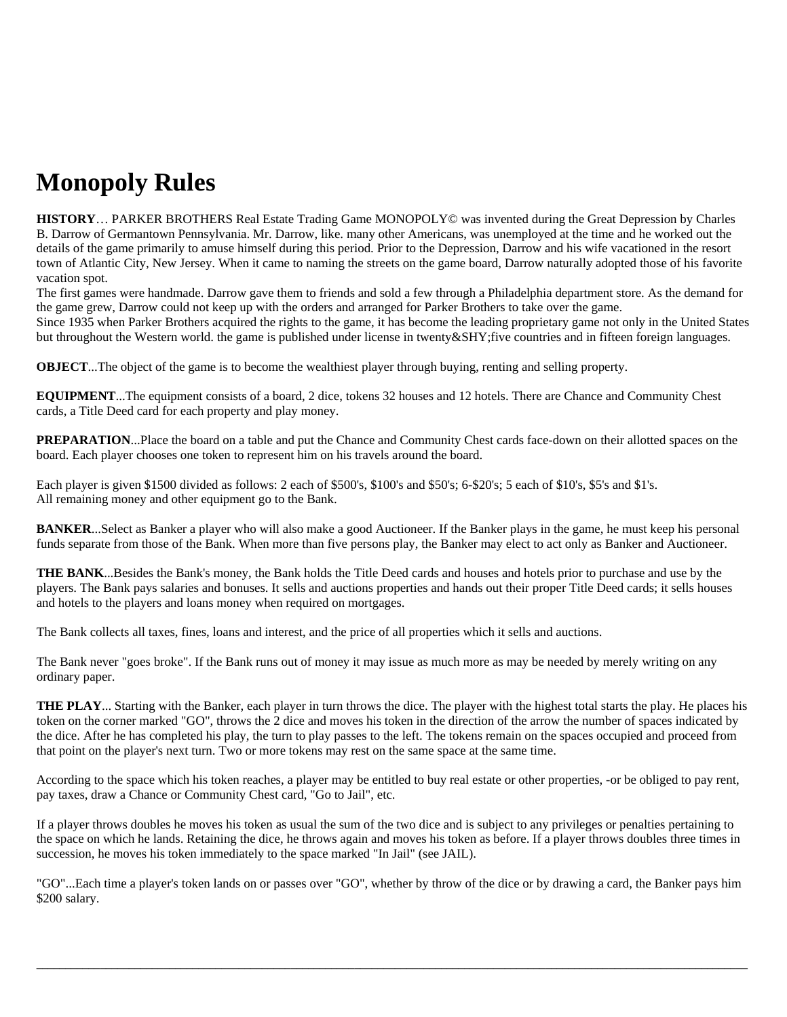## **Monopoly Rules**

**HISTORY**… PARKER BROTHERS Real Estate Trading Game MONOPOLY© was invented during the Great Depression by Charles B. Darrow of Germantown Pennsylvania. Mr. Darrow, like. many other Americans, was unemployed at the time and he worked out the details of the game primarily to amuse himself during this period. Prior to the Depression, Darrow and his wife vacationed in the resort town of Atlantic City, New Jersey. When it came to naming the streets on the game board, Darrow naturally adopted those of his favorite vacation spot.

The first games were handmade. Darrow gave them to friends and sold a few through a Philadelphia department store. As the demand for the game grew, Darrow could not keep up with the orders and arranged for Parker Brothers to take over the game.

Since 1935 when Parker Brothers acquired the rights to the game, it has become the leading proprietary game not only in the United States but throughout the Western world, the game is published under license in twenty­ five countries and in fifteen foreign languages.

**OBJECT**...The object of the game is to become the wealthiest player through buying, renting and selling property.

**EQUIPMENT**...The equipment consists of a board, 2 dice, tokens 32 houses and 12 hotels. There are Chance and Community Chest cards, a Title Deed card for each property and play money.

**PREPARATION**...Place the board on a table and put the Chance and Community Chest cards face-down on their allotted spaces on the board. Each player chooses one token to represent him on his travels around the board.

Each player is given \$1500 divided as follows: 2 each of \$500's, \$100's and \$50's; 6-\$20's; 5 each of \$10's, \$5's and \$1's. All remaining money and other equipment go to the Bank.

**BANKER**...Select as Banker a player who will also make a good Auctioneer. If the Banker plays in the game, he must keep his personal funds separate from those of the Bank. When more than five persons play, the Banker may elect to act only as Banker and Auctioneer.

**THE BANK**...Besides the Bank's money, the Bank holds the Title Deed cards and houses and hotels prior to purchase and use by the players. The Bank pays salaries and bonuses. It sells and auctions properties and hands out their proper Title Deed cards; it sells houses and hotels to the players and loans money when required on mortgages.

The Bank collects all taxes, fines, loans and interest, and the price of all properties which it sells and auctions.

The Bank never "goes broke". If the Bank runs out of money it may issue as much more as may be needed by merely writing on any ordinary paper.

**THE PLAY**... Starting with the Banker, each player in turn throws the dice. The player with the highest total starts the play. He places his token on the corner marked "GO", throws the 2 dice and moves his token in the direction of the arrow the number of spaces indicated by the dice. After he has completed his play, the turn to play passes to the left. The tokens remain on the spaces occupied and proceed from that point on the player's next turn. Two or more tokens may rest on the same space at the same time.

According to the space which his token reaches, a player may be entitled to buy real estate or other properties, -or be obliged to pay rent, pay taxes, draw a Chance or Community Chest card, "Go to Jail", etc.

If a player throws doubles he moves his token as usual the sum of the two dice and is subject to any privileges or penalties pertaining to the space on which he lands. Retaining the dice, he throws again and moves his token as before. If a player throws doubles three times in succession, he moves his token immediately to the space marked "In Jail" (see JAIL).

"GO"...Each time a player's token lands on or passes over "GO", whether by throw of the dice or by drawing a card, the Banker pays him \$200 salary.

 $\bot$  , and the set of the set of the set of the set of the set of the set of the set of the set of the set of the set of the set of the set of the set of the set of the set of the set of the set of the set of the set of t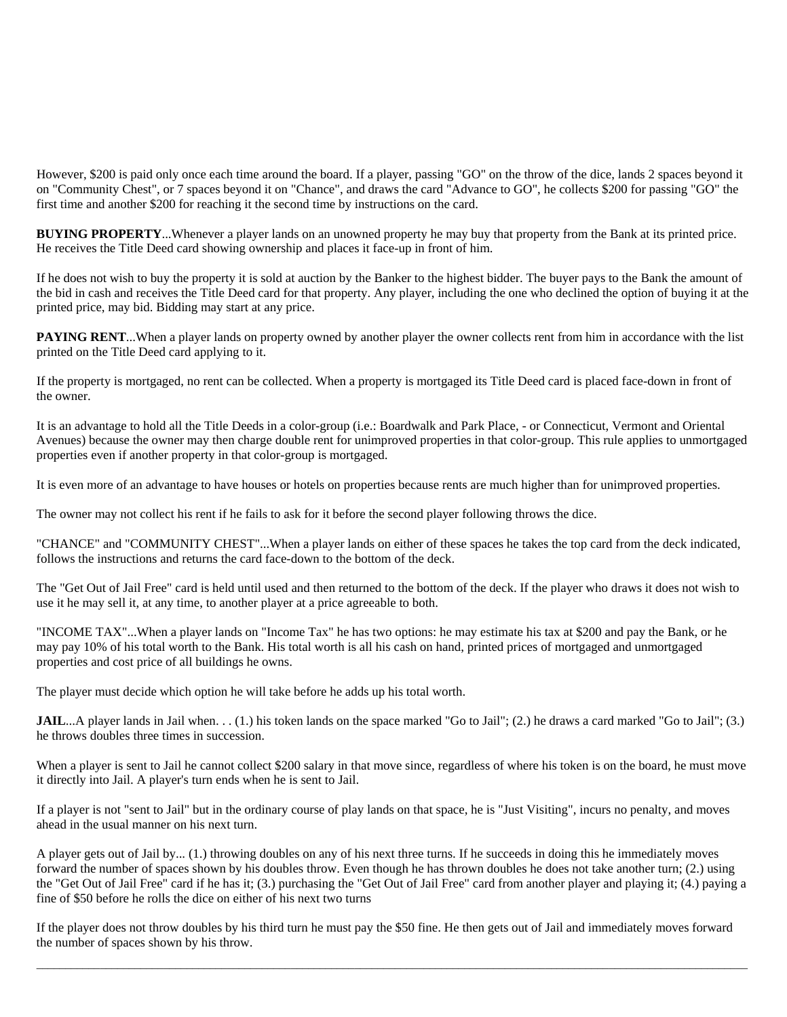However, \$200 is paid only once each time around the board. If a player, passing "GO" on the throw of the dice, lands 2 spaces beyond it on "Community Chest", or 7 spaces beyond it on "Chance", and draws the card "Advance to GO", he collects \$200 for passing "GO" the first time and another \$200 for reaching it the second time by instructions on the card.

**BUYING PROPERTY**...Whenever a player lands on an unowned property he may buy that property from the Bank at its printed price. He receives the Title Deed card showing ownership and places it face-up in front of him.

If he does not wish to buy the property it is sold at auction by the Banker to the highest bidder. The buyer pays to the Bank the amount of the bid in cash and receives the Title Deed card for that property. Any player, including the one who declined the option of buying it at the printed price, may bid. Bidding may start at any price.

**PAYING RENT**...When a player lands on property owned by another player the owner collects rent from him in accordance with the list printed on the Title Deed card applying to it.

If the property is mortgaged, no rent can be collected. When a property is mortgaged its Title Deed card is placed face-down in front of the owner.

It is an advantage to hold all the Title Deeds in a color-group (i.e.: Boardwalk and Park Place, - or Connecticut, Vermont and Oriental Avenues) because the owner may then charge double rent for unimproved properties in that color-group. This rule applies to unmortgaged properties even if another property in that color-group is mortgaged.

It is even more of an advantage to have houses or hotels on properties because rents are much higher than for unimproved properties.

The owner may not collect his rent if he fails to ask for it before the second player following throws the dice.

"CHANCE" and "COMMUNITY CHEST"...When a player lands on either of these spaces he takes the top card from the deck indicated, follows the instructions and returns the card face-down to the bottom of the deck.

The "Get Out of Jail Free" card is held until used and then returned to the bottom of the deck. If the player who draws it does not wish to use it he may sell it, at any time, to another player at a price agreeable to both.

"INCOME TAX"...When a player lands on "Income Tax" he has two options: he may estimate his tax at \$200 and pay the Bank, or he may pay 10% of his total worth to the Bank. His total worth is all his cash on hand, printed prices of mortgaged and unmortgaged properties and cost price of all buildings he owns.

The player must decide which option he will take before he adds up his total worth.

**JAIL**...A player lands in Jail when. . . (1.) his token lands on the space marked "Go to Jail"; (2.) he draws a card marked "Go to Jail"; (3.) he throws doubles three times in succession.

When a player is sent to Jail he cannot collect \$200 salary in that move since, regardless of where his token is on the board, he must move it directly into Jail. A player's turn ends when he is sent to Jail.

If a player is not "sent to Jail" but in the ordinary course of play lands on that space, he is "Just Visiting", incurs no penalty, and moves ahead in the usual manner on his next turn.

A player gets out of Jail by... (1.) throwing doubles on any of his next three turns. If he succeeds in doing this he immediately moves forward the number of spaces shown by his doubles throw. Even though he has thrown doubles he does not take another turn; (2.) using the "Get Out of Jail Free" card if he has it; (3.) purchasing the "Get Out of Jail Free" card from another player and playing it; (4.) paying a fine of \$50 before he rolls the dice on either of his next two turns

If the player does not throw doubles by his third turn he must pay the \$50 fine. He then gets out of Jail and immediately moves forward the number of spaces shown by his throw.

 $\bot$  , and the set of the set of the set of the set of the set of the set of the set of the set of the set of the set of the set of the set of the set of the set of the set of the set of the set of the set of the set of t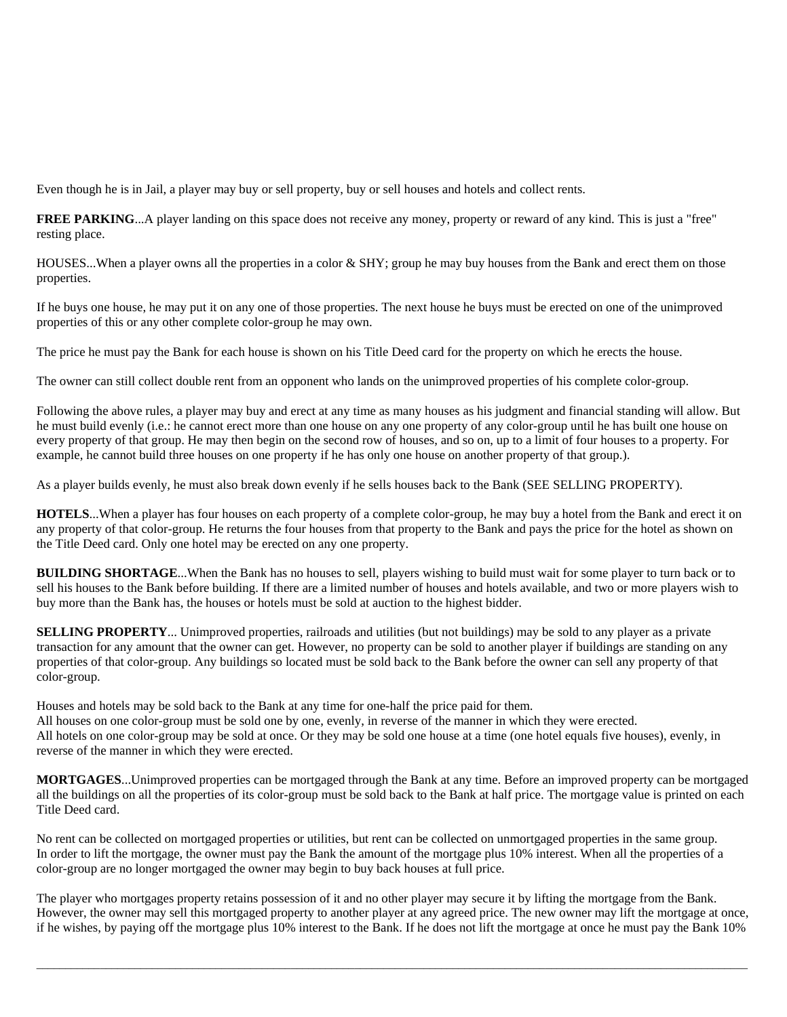Even though he is in Jail, a player may buy or sell property, buy or sell houses and hotels and collect rents.

**FREE PARKING**...A player landing on this space does not receive any money, property or reward of any kind. This is just a "free" resting place.

HOUSES...When a player owns all the properties in a color & SHY; group he may buy houses from the Bank and erect them on those properties.

If he buys one house, he may put it on any one of those properties. The next house he buys must be erected on one of the unimproved properties of this or any other complete color-group he may own.

The price he must pay the Bank for each house is shown on his Title Deed card for the property on which he erects the house.

The owner can still collect double rent from an opponent who lands on the unimproved properties of his complete color-group.

Following the above rules, a player may buy and erect at any time as many houses as his judgment and financial standing will allow. But he must build evenly (i.e.: he cannot erect more than one house on any one property of any color-group until he has built one house on every property of that group. He may then begin on the second row of houses, and so on, up to a limit of four houses to a property. For example, he cannot build three houses on one property if he has only one house on another property of that group.).

As a player builds evenly, he must also break down evenly if he sells houses back to the Bank (SEE SELLING PROPERTY).

**HOTELS**...When a player has four houses on each property of a complete color-group, he may buy a hotel from the Bank and erect it on any property of that color-group. He returns the four houses from that property to the Bank and pays the price for the hotel as shown on the Title Deed card. Only one hotel may be erected on any one property.

**BUILDING SHORTAGE**...When the Bank has no houses to sell, players wishing to build must wait for some player to turn back or to sell his houses to the Bank before building. If there are a limited number of houses and hotels available, and two or more players wish to buy more than the Bank has, the houses or hotels must be sold at auction to the highest bidder.

**SELLING PROPERTY**... Unimproved properties, railroads and utilities (but not buildings) may be sold to any player as a private transaction for any amount that the owner can get. However, no property can be sold to another player if buildings are standing on any properties of that color-group. Any buildings so located must be sold back to the Bank before the owner can sell any property of that color-group.

Houses and hotels may be sold back to the Bank at any time for one-half the price paid for them. All houses on one color-group must be sold one by one, evenly, in reverse of the manner in which they were erected. All hotels on one color-group may be sold at once. Or they may be sold one house at a time (one hotel equals five houses), evenly, in reverse of the manner in which they were erected.

**MORTGAGES**...Unimproved properties can be mortgaged through the Bank at any time. Before an improved property can be mortgaged all the buildings on all the properties of its color-group must be sold back to the Bank at half price. The mortgage value is printed on each Title Deed card.

No rent can be collected on mortgaged properties or utilities, but rent can be collected on unmortgaged properties in the same group. In order to lift the mortgage, the owner must pay the Bank the amount of the mortgage plus 10% interest. When all the properties of a color-group are no longer mortgaged the owner may begin to buy back houses at full price.

The player who mortgages property retains possession of it and no other player may secure it by lifting the mortgage from the Bank. However, the owner may sell this mortgaged property to another player at any agreed price. The new owner may lift the mortgage at once, if he wishes, by paying off the mortgage plus 10% interest to the Bank. If he does not lift the mortgage at once he must pay the Bank 10%

 $\bot$  , and the set of the set of the set of the set of the set of the set of the set of the set of the set of the set of the set of the set of the set of the set of the set of the set of the set of the set of the set of t